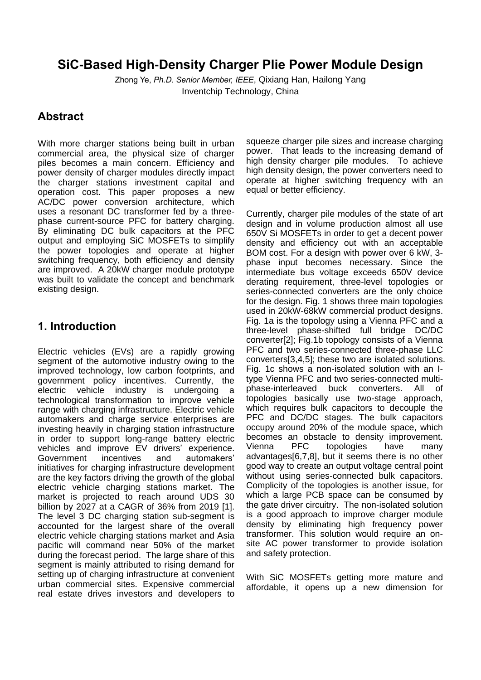# **SiC-Based High-Density Charger Plie Power Module Design**

Zhong Ye, *Ph.D. Senior Member, IEEE*, Qixiang Han, Hailong Yang Inventchip Technology, China

### **Abstract**

With more charger stations being built in urban commercial area, the physical size of charger piles becomes a main concern. Efficiency and power density of charger modules directly impact the charger stations investment capital and operation cost. This paper proposes a new AC/DC power conversion architecture, which uses a resonant DC transformer fed by a threephase current-source PFC for battery charging. By eliminating DC bulk capacitors at the PFC output and employing SiC MOSFETs to simplify the power topologies and operate at higher switching frequency, both efficiency and density are improved. A 20kW charger module prototype was built to validate the concept and benchmark existing design.

## **1. Introduction**

Electric vehicles (EVs) are a rapidly growing segment of the automotive industry owing to the improved technology, low carbon footprints, and government policy incentives. Currently, the electric vehicle industry is undergoing a technological transformation to improve vehicle range with charging infrastructure. Electric vehicle automakers and charge service enterprises are investing heavily in charging station infrastructure in order to support long-range battery electric vehicles and improve EV drivers' experience. Government incentives and automakers' initiatives for charging infrastructure development are the key factors driving the growth of the global electric vehicle charging stations market. The market is projected to reach around UDS 30 billion by 2027 at a CAGR of 36% from 2019 [1]. The level 3 DC charging station sub-segment is accounted for the largest share of the overall electric vehicle charging stations market and Asia pacific will command near 50% of the market during the forecast period. The large share of this segment is mainly attributed to rising demand for setting up of charging infrastructure at convenient urban commercial sites. Expensive commercial real estate drives investors and developers to

squeeze charger pile sizes and increase charging power. That leads to the increasing demand of high density charger pile modules. To achieve high density design, the power converters need to operate at higher switching frequency with an equal or better efficiency.

Currently, charger pile modules of the state of art design and in volume production almost all use 650V Si MOSFETs in order to get a decent power density and efficiency out with an acceptable BOM cost. For a design with power over 6 kW, 3 phase input becomes necessary. Since the intermediate bus voltage exceeds 650V device derating requirement, three-level topologies or series-connected converters are the only choice for the design. Fig. 1 shows three main topologies used in 20kW-68kW commercial product designs. Fig. 1a is the topology using a Vienna PFC and a three-level phase-shifted full bridge DC/DC converter[2]; Fig.1b topology consists of a Vienna PFC and two series-connected three-phase LLC converters[3,4,5]; these two are isolated solutions. Fig. 1c shows a non-isolated solution with an Itype Vienna PFC and two series-connected multiphase-interleaved buck converters. All of topologies basically use two-stage approach, which requires bulk capacitors to decouple the PFC and DC/DC stages. The bulk capacitors occupy around 20% of the module space, which becomes an obstacle to density improvement. Vienna PFC topologies have many advantages[6,7,8], but it seems there is no other good way to create an output voltage central point without using series-connected bulk capacitors. Complicity of the topologies is another issue, for which a large PCB space can be consumed by the gate driver circuitry. The non-isolated solution is a good approach to improve charger module density by eliminating high frequency power transformer. This solution would require an onsite AC power transformer to provide isolation and safety protection.

With SiC MOSFETs getting more mature and affordable, it opens up a new dimension for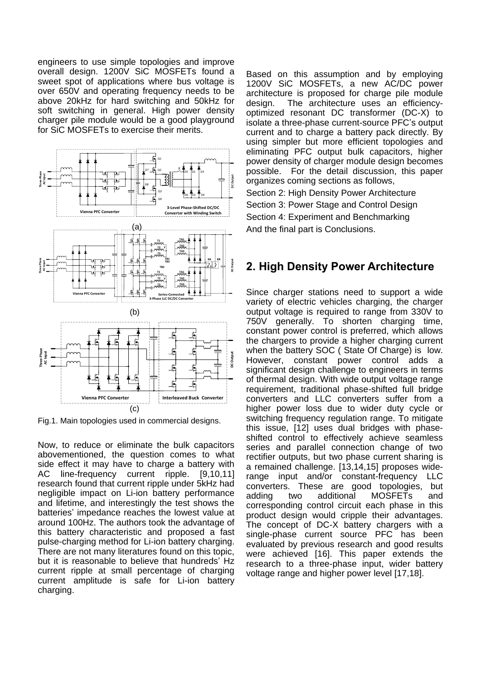engineers to use simple topologies and improve overall design. 1200V SiC MOSFETs found a sweet spot of applications where bus voltage is over 650V and operating frequency needs to be above 20kHz for hard switching and 50kHz for soft switching in general. High power density charger pile module would be a good playground for SiC MOSFETs to exercise their merits.



Fig.1. Main topologies used in commercial designs.

Now, to reduce or eliminate the bulk capacitors abovementioned, the question comes to what side effect it may have to charge a battery with AC line-frequency current ripple. [9,10,11] research found that current ripple under 5kHz had negligible impact on Li-ion battery performance and lifetime, and interestingly the test shows the batteries' impedance reaches the lowest value at around 100Hz. The authors took the advantage of this battery characteristic and proposed a fast pulse-charging method for Li-ion battery charging. There are not many literatures found on this topic, but it is reasonable to believe that hundreds' Hz current ripple at small percentage of charging current amplitude is safe for Li-ion battery charging.

Based on this assumption and by employing 1200V SiC MOSFETs, a new AC/DC power architecture is proposed for charge pile module design. The architecture uses an efficiencyoptimized resonant DC transformer (DC-X) to isolate a three-phase current-source PFC's output current and to charge a battery pack directly. By using simpler but more efficient topologies and eliminating PFC output bulk capacitors, higher power density of charger module design becomes possible. For the detail discussion, this paper organizes coming sections as follows, Section 2: High Density Power Architecture

Section 3: Power Stage and Control Design Section 4: Experiment and Benchmarking And the final part is Conclusions.

# **2. High Density Power Architecture**

Since charger stations need to support a wide variety of electric vehicles charging, the charger output voltage is required to range from 330V to 750V generally. To shorten charging time, constant power control is preferred, which allows the chargers to provide a higher charging current when the battery SOC ( State Of Charge) is low. However, constant power control adds a significant design challenge to engineers in terms of thermal design. With wide output voltage range requirement, traditional phase-shifted full bridge converters and LLC converters suffer from a higher power loss due to wider duty cycle or switching frequency regulation range. To mitigate this issue, [12] uses dual bridges with phaseshifted control to effectively achieve seamless series and parallel connection change of two rectifier outputs, but two phase current sharing is a remained challenge. [13,14,15] proposes widerange input and/or constant-frequency LLC converters. These are good topologies, but adding two additional MOSFETs and corresponding control circuit each phase in this product design would cripple their advantages. The concept of DC-X battery chargers with a single-phase current source PFC has been evaluated by previous research and good results were achieved [16]. This paper extends the research to a three-phase input, wider battery voltaire coming sections as follows,<br>Section 2: High Density Power Architecture<br>Section 4: Experiment and Benchmarking<br>Section 4: Experiment and Benchmarking<br>And the final part is Conclusions.<br>2. **High Density Power Archit**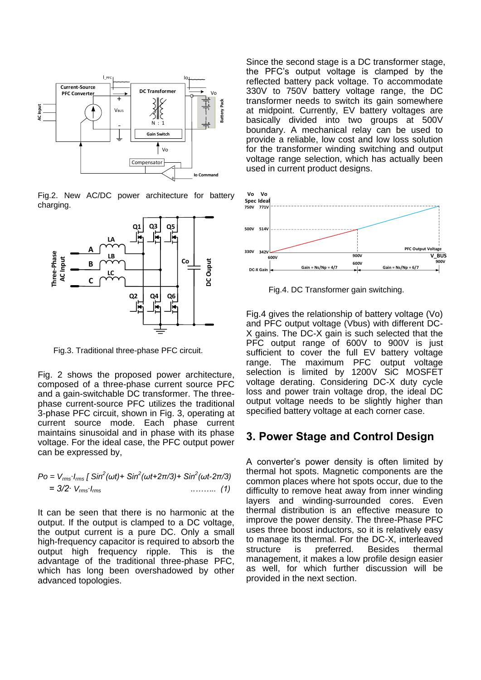

Fig.2. New AC/DC power architecture for battery charging.



Fig.3. Traditional three-phase PFC circuit.

Fig. 2 shows the proposed power architecture, composed of a three-phase current source PFC and a gain-switchable DC transformer. The threephase current-source PFC utilizes the traditional 3-phase PFC circuit, shown in Fig. 3, operating at current source mode. Each phase current maintains sinusoidal and in phase with its phase voltage. For the ideal case, the PFC output power can be expressed by,

$$
Po = V_{rms} I_{rms} [Sin^{2}(\omega t) + Sin^{2}(\omega t + 2\pi/3) + Sin^{2}(\omega t - 2\pi/3)= 3/2 \cdot V_{rms} I_{rms} \qquad (1)
$$

It can be seen that there is no harmonic at the output. If the output is clamped to a DC voltage, the output current is a pure DC. Only a small high-frequency capacitor is required to absorb the output high frequency ripple. This is the advantage of the traditional three-phase PFC, which has long been overshadowed by other advanced topologies.

Since the second stage is a DC transformer stage, the PFC's output voltage is clamped by the reflected battery pack voltage. To accommodate 330V to 750V battery voltage range, the DC transformer needs to switch its gain somewhere at midpoint. Currently, EV battery voltages are basically divided into two groups at 500V boundary. A mechanical relay can be used to provide a reliable, low cost and low loss solution for the transformer winding switching and output voltage range selection, which has actually been used in current product designs.



Fig.4. DC Transformer gain switching.

Fig.4 gives the relationship of battery voltage (Vo) and PFC output voltage (Vbus) with different DC-X gains. The DC-X gain is such selected that the PFC output range of 600V to 900V is just sufficient to cover the full EV battery voltage range. The maximum PFC output voltage selection is limited by 1200V SiC MOSFET voltage derating. Considering DC-X duty cycle loss and power train voltage drop, the ideal DC output voltage needs to be slightly higher than specified battery voltage at each corner case.

#### **3. Power Stage and Control Design**

A converter's power density is often limited by thermal hot spots. Magnetic components are the common places where hot spots occur, due to the difficulty to remove heat away from inner winding layers and winding-surrounded cores. Even thermal distribution is an effective measure to improve the power density. The three-Phase PFC uses three boost inductors, so it is relatively easy to manage its thermal. For the DC-X, interleaved structure is preferred. Besides thermal management, it makes a low profile design easier as well, for which further discussion will be provided in the next section.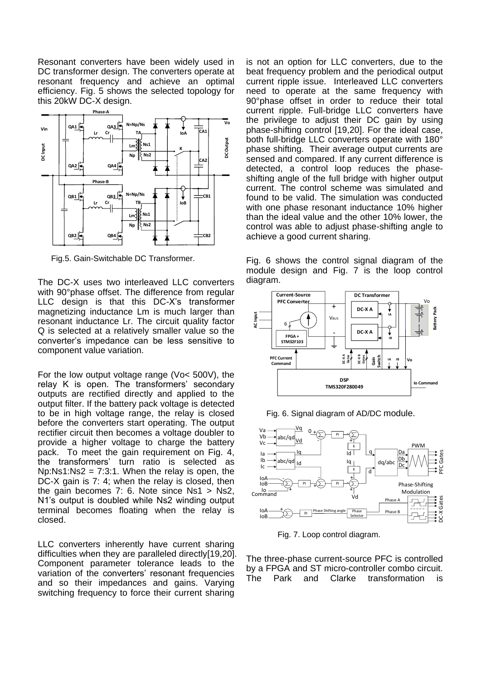Resonant converters have been widely used in DC transformer design. The converters operate at resonant frequency and achieve an optimal efficiency. Fig. 5 shows the selected topology for this 20kW DC-X design.



Fig.5. Gain-Switchable DC Transformer.

The DC-X uses two interleaved LLC converters with 90°phase offset. The difference from regular LLC design is that this DC-X's transformer magnetizing inductance Lm is much larger than resonant inductance Lr. The circuit quality factor Q is selected at a relatively smaller value so the converter's impedance can be less sensitive to component value variation.

For the low output voltage range (Vo< 500V), the relay K is open. The transformers' secondary outputs are rectified directly and applied to the output filter. If the battery pack voltage is detected to be in high voltage range, the relay is closed before the converters start operating. The output rectifier circuit then becomes a voltage doubler to provide a higher voltage to charge the battery pack. To meet the gain requirement on Fig. 4, the transformers' turn ratio is selected as Np:Ns1:Ns2 = 7:3:1. When the relay is open, the DC-X gain is 7: 4; when the relay is closed, then the gain becomes 7: 6. Note since Ns1 > Ns2, N1's output is doubled while Ns2 winding output terminal becomes floating when the relay is closed.

LLC converters inherently have current sharing difficulties when they are paralleled directly[19,20]. Component parameter tolerance leads to the variation of the converters' resonant frequencies and so their impedances and gains. Varying switching frequency to force their current sharing

is not an option for LLC converters, due to the beat frequency problem and the periodical output current ripple issue. Interleaved LLC converters need to operate at the same frequency with 90°phase offset in order to reduce their total current ripple. Full-bridge LLC converters have the privilege to adjust their DC gain by using phase-shifting control [19,20]. For the ideal case, both full-bridge LLC converters operate with 180° phase shifting. Their average output currents are sensed and compared. If any current difference is detected, a control loop reduces the phaseshifting angle of the full bridge with higher output current. The control scheme was simulated and found to be valid. The simulation was conducted with one phase resonant inductance 10% higher than the ideal value and the other 10% lower, the control was able to adjust phase-shifting angle to achieve a good current sharing.

Fig. 6 shows the control signal diagram of the module design and Fig. 7 is the loop control diagram.



Fig. 6. Signal diagram of AD/DC module.



Fig. 7. Loop control diagram.

The three-phase current-source PFC is controlled by a FPGA and ST micro-controller combo circuit. The Park and Clarke transformation is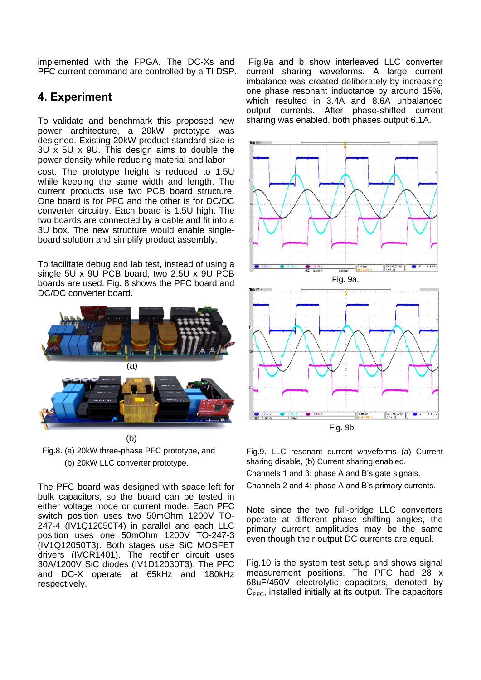implemented with the FPGA. The DC-Xs and PFC current command are controlled by a TI DSP.

### **4. Experiment**

To validate and benchmark this proposed new power architecture, a 20kW prototype was designed. Existing 20kW product standard size is 3U x 5U x 9U. This design aims to double the power density while reducing material and labor

cost. The prototype height is reduced to 1.5U while keeping the same width and length. The current products use two PCB board structure. One board is for PFC and the other is for DC/DC converter circuitry. Each board is 1.5U high. The two boards are connected by a cable and fit into a 3U box. The new structure would enable singleboard solution and simplify product assembly.

To facilitate debug and lab test, instead of using a single 5U x 9U PCB board, two 2.5U x 9U PCB boards are used. Fig. 8 shows the PFC board and DC/DC converter board.



 Fig.8. (a) 20kW three-phase PFC prototype, and (b) 20kW LLC converter prototype.

The PFC board was designed with space left for bulk capacitors, so the board can be tested in either voltage mode or current mode. Each PFC switch position uses two 50mOhm 1200V TO-247-4 (IV1Q12050T4) in parallel and each LLC position uses one 50mOhm 1200V TO-247-3 (IV1Q12050T3). Both stages use SiC MOSFET drivers (IVCR1401). The rectifier circuit uses 30A/1200V SiC diodes (IV1D12030T3). The PFC and DC-X operate at 65kHz and 180kHz respectively.

Fig.9a and b show interleaved LLC converter current sharing waveforms. A large current imbalance was created deliberately by increasing one phase resonant inductance by around 15%, which resulted in 3.4A and 8.6A unbalanced output currents. After phase-shifted current sharing was enabled, both phases output 6.1A.





Fig.9. LLC resonant current waveforms (a) Current sharing disable, (b) Current sharing enabled.

Channels 1 and 3: phase A and B's gate signals.

Channels 2 and 4: phase A and B's primary currents.

Note since the two full-bridge LLC converters operate at different phase shifting angles, the primary current amplitudes may be the same even though their output DC currents are equal.

Fig.10 is the system test setup and shows signal measurement positions. The PFC had 28 x 68uF/450V electrolytic capacitors, denoted by  $C<sub>PFC</sub>$ , installed initially at its output. The capacitors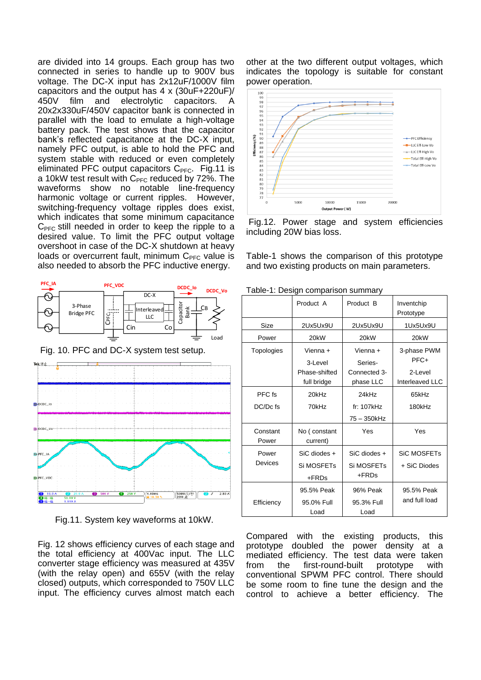are divided into 14 groups. Each group has two connected in series to handle up to 900V bus voltage. The DC-X input has 2x12uF/1000V film capacitors and the output has 4 x (30uF+220uF)/ 450V film and electrolytic capacitors. A 20x2x330uF/450V capacitor bank is connected in parallel with the load to emulate a high-voltage battery pack. The test shows that the capacitor bank's reflected capacitance at the DC-X input, namely PFC output, is able to hold the PFC and system stable with reduced or even completely eliminated PFC output capacitors  $C<sub>PEC</sub>$ . Fig.11 is a 10kW test result with  $C_{\text{PFC}}$  reduced by 72%. The waveforms show no notable line-frequency harmonic voltage or current ripples. However, switching-frequency voltage ripples does exist, which indicates that some minimum capacitance  $C_{PFC}$  still needed in order to keep the ripple to a desired value. To limit the PFC output voltage overshoot in case of the DC-X shutdown at heavy loads or overcurrent fault, minimum  $C_{PFC}$  value is also needed to absorb the PFC inductive energy.



Fig. 10. PFC and DC-X system test setup.



Fig.11. System key waveforms at 10kW.

Fig. 12 shows efficiency curves of each stage and the total efficiency at 400Vac input. The LLC converter stage efficiency was measured at 435V (with the relay open) and 655V (with the relay closed) outputs, which corresponded to 750V LLC input. The efficiency curves almost match each other at the two different output voltages, which indicates the topology is suitable for constant power operation.



Fig.12. Power stage and system efficiencies including 20W bias loss.

Table-1 shows the comparison of this prototype and two existing products on main parameters.

| $500.911$ companion canning $\eta$ |                                                 |                                       |                                    |
|------------------------------------|-------------------------------------------------|---------------------------------------|------------------------------------|
|                                    | Product A                                       | Product B                             | Inventchip<br>Prototype            |
| Size                               | 2Ux5Ux9U                                        | 2Ux5Ux9U                              | 1Ux5Ux9U                           |
| Power                              | 20kW                                            | 20kW                                  | 20kW                               |
| <b>Topologies</b>                  | Vienna +                                        | Vienna +                              | 3-phase PWM<br>PFC+                |
|                                    | 3-Level<br>Phase-shifted<br>full bridge         | Series-<br>Connected 3-<br>phase LLC  | 2-Level<br>Interleaved LLC         |
| PFC fs                             | 20kHz                                           | 24kHz                                 | 65kHz                              |
| DC/Dc fs                           | 70kHz                                           | fr: $107$ kHz                         | 180kHz                             |
| Constant<br>Power                  | No (constant<br>current)                        | 75 - 350kHz<br>Yes                    | Yes                                |
| Power<br><b>Devices</b>            | SiC diodes +<br>Si MOSFET <sub>S</sub><br>+FRDs | $SiC$ diodes +<br>Si MOSFETs<br>+FRDs | <b>SiC MOSFETs</b><br>+ SiC Diodes |
| Efficiency                         | 95.5% Peak<br>95.0% Full<br>Load                | 96% Peak<br>95.3% Full<br>Load        | 95.5% Peak<br>and full load        |

Table-1: Design comparison summary

Compared with the existing products, this prototype doubled the power density at a mediated efficiency. The test data were taken from the first-round-built prototype with conventional SPWM PFC control. There should be some room to fine tune the design and the control to achieve a better efficiency. The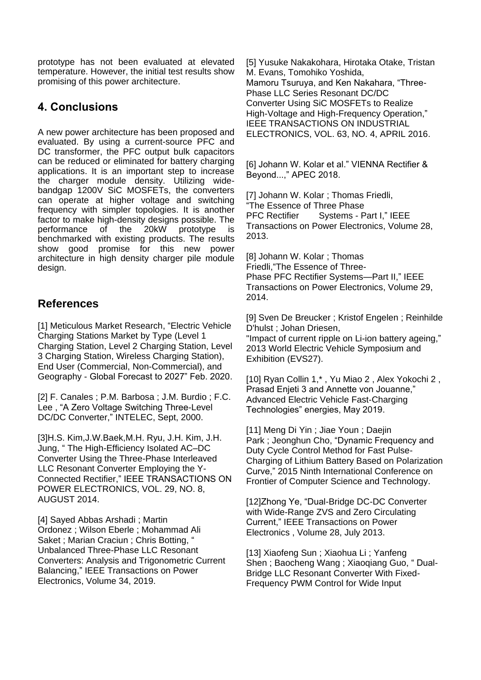prototype has not been evaluated at elevated temperature. However, the initial test results show promising of this power architecture.

## **4. Conclusions**

A new power architecture has been proposed and evaluated. By using a current-source PFC and DC transformer, the PFC output bulk capacitors can be reduced or eliminated for battery charging applications. It is an important step to increase the charger module density. Utilizing widebandgap 1200V SiC MOSFETs, the converters can operate at higher voltage and switching frequency with simpler topologies. It is another factor to make high-density designs possible. The performance of the 20kW prototype is benchmarked with existing products. The results show good promise for this new power architecture in high density charger pile module design.

## **References**

[1] Meticulous Market Research, ["Electric Vehicle](https://www.globenewswire.com/Tracker?data=xyuyz4lr8Eqay1FDHCbf1DwGeuJOUh6PMyRMS3es9iZAqv8ZU-7BVfdA5DkXA0M9zsKklpWaywokci6TMCKChQqRZp7S4SjLmdWq9YUzZvRjisg_hqsFAh7XB7G8PqR653tFo2cf9ImSv6t3YyEBGshND4JJdEgcWF3voKEG2oLUfX8FLRioDK9usIT6SjX6oWPaH5wG-Hg38p0u1cjjVQ==)  [Charging Stations Market](https://www.globenewswire.com/Tracker?data=xyuyz4lr8Eqay1FDHCbf1DwGeuJOUh6PMyRMS3es9iZAqv8ZU-7BVfdA5DkXA0M9zsKklpWaywokci6TMCKChQqRZp7S4SjLmdWq9YUzZvRjisg_hqsFAh7XB7G8PqR653tFo2cf9ImSv6t3YyEBGshND4JJdEgcWF3voKEG2oLUfX8FLRioDK9usIT6SjX6oWPaH5wG-Hg38p0u1cjjVQ==) by Type (Level 1 Charging Station, Level 2 Charging Station, Level 3 Charging Station, Wireless Charging Station), End User (Commercial, Non-Commercial), and Geography - Global Forecast to 2027" Feb. 2020.

[2] [F. Canales](https://ieeexplore.ieee.org/author/37282382700) ; [P.M. Barbosa](https://ieeexplore.ieee.org/author/37338920500) ; [J.M. Burdio](https://ieeexplore.ieee.org/author/37276048000) ; [F.C.](https://ieeexplore.ieee.org/author/37271047100)  [Lee](https://ieeexplore.ieee.org/author/37271047100) , "A Zero Voltage Switching Three-Level DC/DC Converter," INTELEC, Sept, 2000.

[3]H.S. Kim,J.W.Baek,M.H. Ryu, J.H. Kim, J.H. Jung, " The High-Efficiency Isolated AC–DC Converter Using the Three-Phase Interleaved LLC Resonant Converter Employing the Y-Connected Rectifier," IEEE TRANSACTIONS ON POWER ELECTRONICS, VOL. 29, NO. 8, AUGUST 2014.

[4] [Sayed Abbas Arshadi](https://ieeexplore.ieee.org/author/37085429980) ; [Martin](https://ieeexplore.ieee.org/author/37542398600)  [Ordonez](https://ieeexplore.ieee.org/author/37542398600) ; [Wilson Eberle](https://ieeexplore.ieee.org/author/37270928500) ; [Mohammad Ali](https://ieeexplore.ieee.org/author/37085786883)  [Saket](https://ieeexplore.ieee.org/author/37085786883) ; [Marian Craciun](https://ieeexplore.ieee.org/author/38241606500) ; [Chris Botting,](https://ieeexplore.ieee.org/author/37085454247) " Unbalanced Three-Phase LLC Resonant Converters: Analysis and Trigonometric Current Balancing," [IEEE Transactions on Power](https://ieeexplore.ieee.org/xpl/RecentIssue.jsp?punumber=63)  [Electronics,](https://ieeexplore.ieee.org/xpl/RecentIssue.jsp?punumber=63) Volume 34, 2019.

[5] Yusuke Nakakohara, Hirotaka Otake, Tristan M. Evans, Tomohiko Yoshida, Mamoru Tsuruya, and Ken Nakahara, "Three-Phase LLC Series Resonant DC/DC Converter Using SiC MOSFETs to Realize High-Voltage and High-Frequency Operation," IEEE TRANSACTIONS ON INDUSTRIAL ELECTRONICS, VOL. 63, NO. 4, APRIL 2016.

[6] Johann W. Kolar et al." VIENNA Rectifier & Beyond...," APEC 2018.

[7] [Johann W. Kolar](https://ieeexplore.ieee.org/author/37274341100) ; [Thomas](https://ieeexplore.ieee.org/author/37391517200) Friedli, "The [Essence](https://ieeexplore.ieee.org/document/6195023/) of Three Phase PFC [Rectifier Systems](https://ieeexplore.ieee.org/document/6195023/) - Part I," IEEE [Transactions on Power Electronics,](https://ieeexplore.ieee.org/xpl/RecentIssue.jsp?punumber=63) Volume 28, 2013.

[8] [Johann W. Kolar](https://ieeexplore.ieee.org/author/37274341100) ; [Thomas](https://ieeexplore.ieee.org/author/37391517200)  [Friedli,](https://ieeexplore.ieee.org/author/37391517200)"The [Essence](https://ieeexplore.ieee.org/document/6195023/) of Three-Phase PFC Rectifier [Systems—Part II,](https://ieeexplore.ieee.org/document/6195023/)" [IEEE](https://ieeexplore.ieee.org/xpl/RecentIssue.jsp?punumber=63)  [Transactions on Power Electronics,](https://ieeexplore.ieee.org/xpl/RecentIssue.jsp?punumber=63) Volume 29, 2014.

[9] [Sven De Breucker](https://ieeexplore.ieee.org/author/37298119300) ; [Kristof Engelen](https://ieeexplore.ieee.org/author/37293727700) ; [Reinhilde](https://ieeexplore.ieee.org/author/37705933700)  [D'hulst](https://ieeexplore.ieee.org/author/37705933700) ; [Johan Driesen,](https://ieeexplore.ieee.org/author/37274737500)

["Impact](https://ieeexplore.ieee.org/document/6914791/) of current ripple on Li-ion battery ageing," [2013 World Electric Vehicle Symposium and](https://ieeexplore.ieee.org/xpl/conhome/6902670/proceeding)  [Exhibition \(EVS27\).](https://ieeexplore.ieee.org/xpl/conhome/6902670/proceeding)

[10] Ryan Collin 1,\* , Yu Miao 2 , Alex Yokochi 2 , Prasad Enjeti 3 and Annette von Jouanne," Advanced Electric Vehicle Fast-Charging Technologies" energies, May 2019.

[11] [Meng Di Yin](https://ieeexplore.ieee.org/author/37085679926); [Jiae Youn](https://ieeexplore.ieee.org/author/37085681191); Daejin [Park](https://ieeexplore.ieee.org/author/38003590900) ; [Jeonghun Cho,](https://ieeexplore.ieee.org/author/37290237900) "Dynamic Frequency and Duty Cycle Control Method for Fast Pulse-Charging of Lithium Battery Based on Polarization Curve," [2015 Ninth International Conference on](https://ieeexplore.ieee.org/xpl/conhome/7312673/proceeding)  [Frontier of Computer Science and Technology.](https://ieeexplore.ieee.org/xpl/conhome/7312673/proceeding)

[12]Zhong Ye, "Dual-Bridge DC-DC Converter with Wide-Range ZVS and Zero Circulating Current," [IEEE Transactions on Power](https://ieeexplore.ieee.org/xpl/RecentIssue.jsp?punumber=63)  [Electronics](https://ieeexplore.ieee.org/xpl/RecentIssue.jsp?punumber=63) , Volume 28, July 2013.

[13] [Xiaofeng Sun](https://ieeexplore.ieee.org/author/37534898200) ; [Xiaohua Li](https://ieeexplore.ieee.org/author/37085669668) ; [Yanfeng](https://ieeexplore.ieee.org/author/37085527895)  [Shen](https://ieeexplore.ieee.org/author/37085527895) ; [Baocheng Wang](https://ieeexplore.ieee.org/author/37538976200) ; [Xiaoqiang Guo,](https://ieeexplore.ieee.org/author/37406274000) " Dual-Bridge LLC Resonant Converter With Fixed-Frequency PWM Control for Wide Input